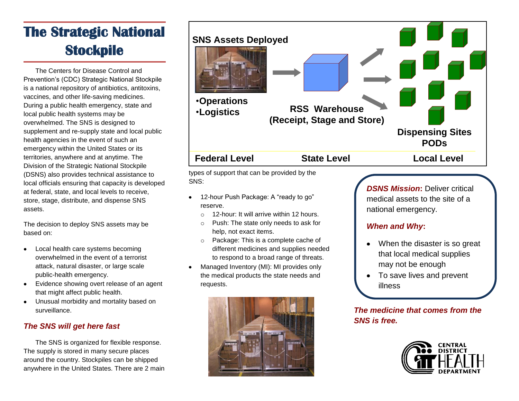# **The Strategic National Stockpile**

The Centers for Disease Control and Prevention's (CDC) Strategic National Stockpile is a national repository of antibiotics, antitoxins, vaccines, and other life-saving medicines. During a public health emergency, state and local public health systems may be overwhelmed. The SNS is designed to supplement and re-supply state and local public health agencies in the event of such an emergency within the United States or its territories, anywhere and at anytime. The Division of the Strategic National Stockpile (DSNS) also provides technical assistance to local officials ensuring that capacity is developed at federal, state, and local levels to receive, store, stage, distribute, and dispense SNS assets.

The decision to deploy SNS assets may be based on:

- Local health care systems becoming  $\bullet$ overwhelmed in the event of a terrorist attack, natural disaster, or large scale public-health emergency.
- Evidence showing overt release of an agent that might affect public health.
- Unusual morbidity and mortality based on  $\bullet$ surveillance.

# *The SNS will get here fast*

The SNS is organized for flexible response. The supply is stored in many secure places around the country. Stockpiles can be shipped anywhere in the United States. There are 2 main



types of support that can be provided by the SNS:

- 12-hour Push Package: A "ready to go" reserve.
	- o 12-hour: It will arrive within 12 hours.
	- o Push: The state only needs to ask for help, not exact items.
	- o Package: This is a complete cache of different medicines and supplies needed to respond to a broad range of threats.
- Managed Inventory (MI): MI provides only the medical products the state needs and requests.



*DSNS Mission***:** Deliver critical medical assets to the site of a national emergency.

### *When and Why***:**

- When the disaster is so great that local medical supplies may not be enough
- To save lives and prevent illness

*The medicine that comes from the SNS is free.*